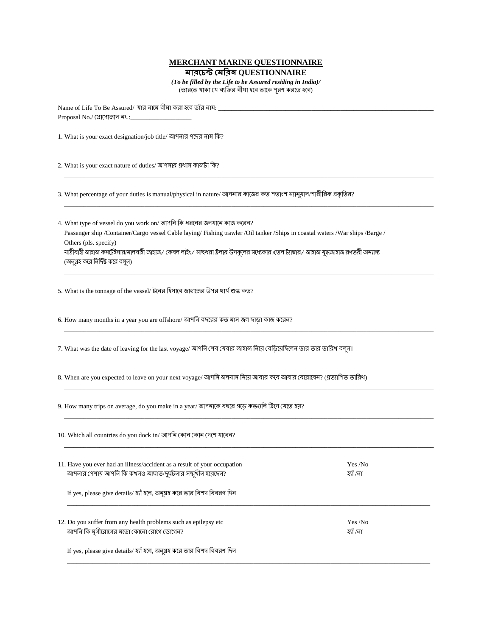## **MERCHANT MARINE QUESTIONNAIRE**

 **QUESTIONNAIRE**

*(To be filled by the Life to be Assured residing in India)/* (ভারতে থাকা যে ব্যক্তির বীমা হবে তাকে পূরণ করতে হবে)

\_\_\_\_\_\_\_\_\_\_\_\_\_\_\_\_\_\_\_\_\_\_\_\_\_\_\_\_\_\_\_\_\_\_\_\_\_\_\_\_\_\_\_\_\_\_\_\_\_\_\_\_\_\_\_\_\_\_\_\_\_\_\_\_\_\_\_\_\_\_\_\_\_\_\_\_\_\_\_\_\_\_\_\_\_\_\_\_\_\_\_\_\_\_\_\_\_\_\_\_\_\_\_\_\_\_\_\_\_\_\_\_\_\_\_

\_\_\_\_\_\_\_\_\_\_\_\_\_\_\_\_\_\_\_\_\_\_\_\_\_\_\_\_\_\_\_\_\_\_\_\_\_\_\_\_\_\_\_\_\_\_\_\_\_\_\_\_\_\_\_\_\_\_\_\_\_\_\_\_\_\_\_\_\_\_\_\_\_\_\_\_\_\_\_\_\_\_\_\_\_\_\_\_\_\_\_\_\_\_\_\_\_\_\_\_\_\_\_\_\_\_\_\_\_\_\_\_\_\_\_

\_\_\_\_\_\_\_\_\_\_\_\_\_\_\_\_\_\_\_\_\_\_\_\_\_\_\_\_\_\_\_\_\_\_\_\_\_\_\_\_\_\_\_\_\_\_\_\_\_\_\_\_\_\_\_\_\_\_\_\_\_\_\_\_\_\_\_\_\_\_\_\_\_\_\_\_\_\_\_\_\_\_\_\_\_\_\_\_\_\_\_\_\_\_\_\_\_\_\_\_\_\_\_\_\_\_\_\_\_\_\_\_\_\_\_

\_\_\_\_\_\_\_\_\_\_\_\_\_\_\_\_\_\_\_\_\_\_\_\_\_\_\_\_\_\_\_\_\_\_\_\_\_\_\_\_\_\_\_\_\_\_\_\_\_\_\_\_\_\_\_\_\_\_\_\_\_\_\_\_\_\_\_\_\_\_\_\_\_\_\_\_\_\_\_\_\_\_\_\_\_\_\_\_\_\_\_\_\_\_\_\_\_\_\_\_\_\_\_\_\_\_\_\_\_\_\_\_\_\_\_

\_\_\_\_\_\_\_\_\_\_\_\_\_\_\_\_\_\_\_\_\_\_\_\_\_\_\_\_\_\_\_\_\_\_\_\_\_\_\_\_\_\_\_\_\_\_\_\_\_\_\_\_\_\_\_\_\_\_\_\_\_\_\_\_\_\_\_\_\_\_\_\_\_\_\_\_\_\_\_\_\_\_\_\_\_\_\_\_\_\_\_\_\_\_\_\_\_\_\_\_\_\_\_\_\_\_\_\_\_\_\_\_\_\_\_

\_\_\_\_\_\_\_\_\_\_\_\_\_\_\_\_\_\_\_\_\_\_\_\_\_\_\_\_\_\_\_\_\_\_\_\_\_\_\_\_\_\_\_\_\_\_\_\_\_\_\_\_\_\_\_\_\_\_\_\_\_\_\_\_\_\_\_\_\_\_\_\_\_\_\_\_\_\_\_\_\_\_\_\_\_\_\_\_\_\_\_\_\_\_\_\_\_\_\_\_\_\_\_\_\_\_\_\_\_\_\_\_\_\_\_

\_\_\_\_\_\_\_\_\_\_\_\_\_\_\_\_\_\_\_\_\_\_\_\_\_\_\_\_\_\_\_\_\_\_\_\_\_\_\_\_\_\_\_\_\_\_\_\_\_\_\_\_\_\_\_\_\_\_\_\_\_\_\_\_\_\_\_\_\_\_\_\_\_\_\_\_\_\_\_\_\_\_\_\_\_\_\_\_\_\_\_\_\_\_\_\_\_\_\_\_\_\_\_\_\_\_\_\_\_\_\_\_\_\_\_

\_\_\_\_\_\_\_\_\_\_\_\_\_\_\_\_\_\_\_\_\_\_\_\_\_\_\_\_\_\_\_\_\_\_\_\_\_\_\_\_\_\_\_\_\_\_\_\_\_\_\_\_\_\_\_\_\_\_\_\_\_\_\_\_\_\_\_\_\_\_\_\_\_\_\_\_\_\_\_\_\_\_\_\_\_\_\_\_\_\_\_\_\_\_\_\_\_\_\_\_\_\_\_\_\_\_\_\_\_\_\_\_\_\_\_

\_\_\_\_\_\_\_\_\_\_\_\_\_\_\_\_\_\_\_\_\_\_\_\_\_\_\_\_\_\_\_\_\_\_\_\_\_\_\_\_\_\_\_\_\_\_\_\_\_\_\_\_\_\_\_\_\_\_\_\_\_\_\_\_\_\_\_\_\_\_\_\_\_\_\_\_\_\_\_\_\_\_\_\_\_\_\_\_\_\_\_\_\_\_\_\_\_\_\_\_\_\_\_\_\_\_\_\_\_\_\_\_\_\_\_

Name of Life To Be Assured/ যার নামে বীমা করা হবে তাঁর নাম: Proposal No./ (প্ৰাপোজাল নং.:

1. What is your exact designation/job title/ আপনার পদের নাম কি?

2. What is your exact nature of duties/ আপনার প্রধান কাজটা কি?

3. What percentage of your duties is manual/physical in nature/ আপনার কাজের কত শতাংশ ম্যানুয়াল/শারীরিক প্রকৃতির?

4. What type of vessel do you work on/ আপনি কি ধরনের জলযানে কাজ করেন? Passenger ship /Container/Cargo vessel Cable laying/ Fishing trawler /Oil tanker /Ships in coastal waters /War ships /Barge / Others (pls. specify) যা্রীবাহী জাহাজ কনটেইনার/মালবাহী জাহাজ/ কেবল লাইং/ মাছধরা ট্রলার উপকূলের মধ্যেকার /তেল ট্যাঙ্কার/ জাহাজ যুদ্ধজাহাজ রণতরী অন্যান্য (অনুগ্রহ করে নির্দিষ্ট করে বলুন)

5. What is the tonnage of the vessel/ টলের হিসাবে জাহাজের উপর ধার্য শুল্ক কত?

6. How many months in a year you are offshore/ আপনি বছরের কত মাস জল ছাড়া কাজ করেন?

7. What was the date of leaving for the last voyage/ আপনি শেষ যেবার জাহাজ নিয়ে বেডিয়েছিলেন তার তার তারিখ বলুন।

8. When are you expected to leave on your next voyage/ আপনি জলযান নিয়ে আবার কবে আবার বেরোবেন? (প্রত্যাশিত তারিথ)

9. How many trips on average, do you make in a year/ আপনাকে বছরে গডে কতগুলি ট্রিপে যেতে হয়?

10. Which all countries do you dock in/ আপনি কোন কোন দেশে যাবেন? \_\_\_\_\_\_\_\_\_\_\_\_\_\_\_\_\_\_\_\_\_\_\_\_\_\_\_\_\_\_\_\_\_\_\_\_\_\_\_\_\_\_\_\_\_\_\_\_\_\_\_\_\_\_\_\_\_\_\_\_\_\_\_\_\_\_\_\_\_\_\_\_\_\_\_\_\_\_\_\_\_\_\_\_\_\_\_\_\_\_\_\_\_\_\_\_\_\_\_\_\_\_\_\_\_\_\_\_\_\_\_\_\_\_\_ 11. Have you ever had an illness/accident as a result of your occupation Yes /No আপনার পেশায় আপনি কি কথনও আঘাত/দুর্ঘটনার সম্মুখীন হয়েছেন? If yes, please give details/ হ্যাঁ হলে, অনুগ্ৰহ করে তার বিশদ বিবরণ দিন \_\_\_\_\_\_\_\_\_\_\_\_\_\_\_\_\_\_\_\_\_\_\_\_\_\_\_\_\_\_\_\_\_\_\_\_\_\_\_\_\_\_\_\_\_\_\_\_\_\_\_\_\_\_\_\_\_\_\_\_\_\_\_\_\_\_\_\_\_\_\_\_\_\_\_\_\_\_\_\_\_\_\_\_\_\_\_\_\_\_\_\_\_\_\_\_\_\_\_\_\_\_\_\_\_\_\_\_\_\_\_\_\_ 12. Do you suffer from any health problems such as epilepsy etc Yes /No ? / If yes, please give details/ হ্যাঁ হলে, অনুগ্রহ করে তার বিশদ বিবরণ দিন

\_\_\_\_\_\_\_\_\_\_\_\_\_\_\_\_\_\_\_\_\_\_\_\_\_\_\_\_\_\_\_\_\_\_\_\_\_\_\_\_\_\_\_\_\_\_\_\_\_\_\_\_\_\_\_\_\_\_\_\_\_\_\_\_\_\_\_\_\_\_\_\_\_\_\_\_\_\_\_\_\_\_\_\_\_\_\_\_\_\_\_\_\_\_\_\_\_\_\_\_\_\_\_\_\_\_\_\_\_\_\_\_\_